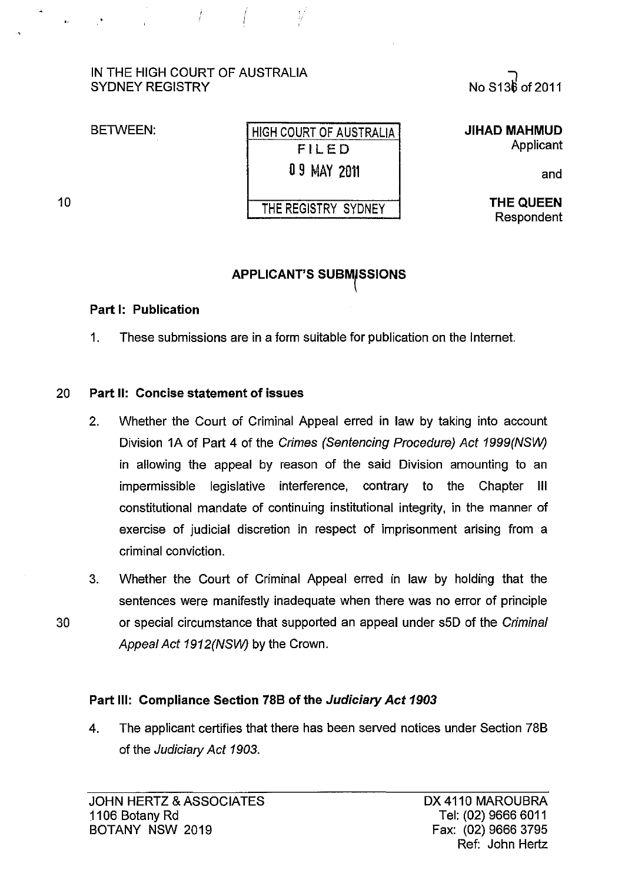## IN THE HIGH COURT OF AUSTRALIA SYDNEY REGISTRY

 $\mathbb{Z}/\mathbb{Z}$ 

BETWEEN:

10

| HIGH COURT OF AUSTRALIA |
|-------------------------|
| FILED                   |
| 0 9 MAY 2011            |
|                         |

V

THE REGISTRY SYDNEY

"] NoS13~of2011

**JIHAD MAHMUD**  Applicant

and

THE QUEEN Respondent

# **APPLICANT'S SUBMISSIONS**

### Part I: Publication

1. These submissions are in a form suitable for publication on the Internet.

## 20 Part 11: Concise statement of issues

- 2. Whether the Court of Criminal Appeal erred in law by taking into account Division 1A of Part 4 of the Crimes (Sentencing Procedure) Act 1999(NSW) in allowing the appeal by reason of the said Division amounting to an impermissible legislative interference, contrary to the Chapter III constitutional mandate of continuing institutional integrity, in the manner of exercise of judicial discretion in respect of imprisonment arising from a criminal conviction.
- 3. Whether the Court of Criminal Appeal erred in law by holding that the sentences were manifestly inadequate when there was no error of principle 30 or special circumstance that supported an appeal under s5D of the Criminal Appeal Act 1912(NSW) by the Crown.

## Part Ill: Compliance Section 78B of the Judiciary Act 1903

4. The applicant certifies that there has been served notices under Section 78B of the Judiciary Act 1903.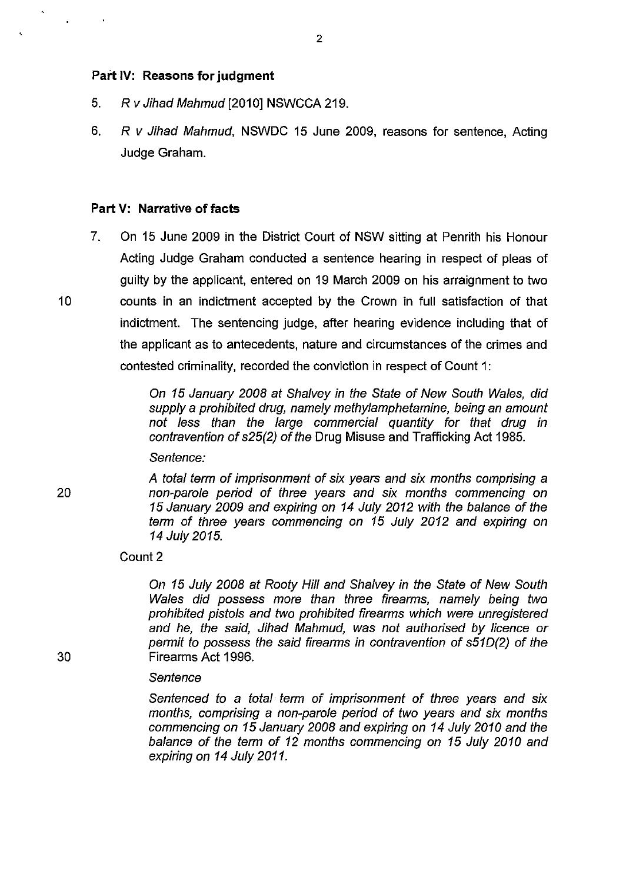#### Part IV: Reasons for judgment

- 5. Rv Jihad Mahmud [2010] NSWCCA 219.
- 6. R v Jihad Mahmud, NSWDC 15 June 2009, reasons for sentence, Acting Judge Graham.

### Part V: Narrative of facts

7. On 15 June 2009 in the District Court of NSW sitting at Penrith his Honour Acting Judge Graham conducted a sentence hearing in respect of pleas of guilty by the applicant, entered on 19 March 2009 on his arraignment to two 10 counts in an indictment accepted by the Crown in full satisfaction of that indictment. The sentencing judge, after hearing evidence including that of the applicant as to antecedents, nature and circumstances of the crimes and contested criminality, recorded the conviction in respect of Count 1:

> On 15 January 2008 at Shalvey in the State of New South Wales, did supply a prohibited drug, namely methylamphetamine, being an amount not less than the large commercial quantity for that drug in contravention of s25(2) of the Drug Misuse and Trafficking Act 1985.

Sentence:

A total term of imprisonment of six years and six months comprising a non-parole period of three years and six months commencing on 15 January 2009 and expiring on 14 July 2012 with the balance of the term of three years commencing on 15 July 2012 and expiring on 14 July 2015.

Count 2

On 15 July 2008 at Rooty Hill and Shalvey in the State of New South Wales did possess more than three firearms, namely being two prohibited pistols and two prohibited firearms which were unregistered and he, the said, Jihad Mahmud, was not authorised by licence or permit to possess the said firearms in contravention of s510(2) of the Firearms Act 1996.

#### **Sentence**

Sentenced to a total term of imprisonment of three years and six months, comprising a non-parole period of two years and six months commencing on 15 January 2008 and expiring on 14 July 2010 and the balance of the term of 12 months commencing on 15 July 2010 and expiring on 14 July 2011.

 $\ddot{\phantom{a}}$ 

20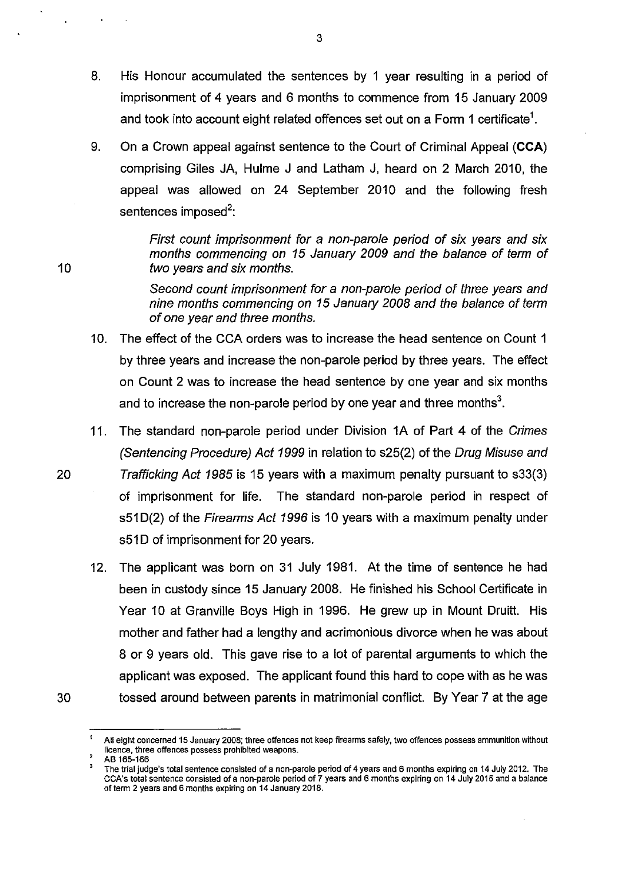- 8. His Honour accumulated the sentences by 1 year resulting in a period of imprisonment of 4 years and 6 months to commence from 15 January 2009 and took into account eight related offences set out on a Form 1 certificate $^{\mathsf{1}}.$
- 9. On a Crown appeal against sentence to the Court of Criminal Appeal (CCA) comprising Giles JA, Hulme J and Latham J, heard on 2 March 2010, the appeal was allowed on 24 September 2010 and the following fresh sentences imposed<sup>2</sup>:

First count imprisonment for a non-parole period of six years and six months commencing on 15 January 2009 and the balance of term of two years and six months.

Second count imprisonment for a non-parole period of three years and nine months commencing on 15 January 2008 and the balance of term of one year and three months.

- 10. The effect of the CCA orders was to increase the head sentence on Count 1 by three years and increase the non-parole period by three years. The effect on Count 2 was to increase the head sentence by one year and six months and to increase the non-parole period by one year and three months<sup>3</sup>.
- 11. The standard non-parole period under Division 1A of Part 4 of the Crimes (Sentencing Procedure) Act 1999 in relation to s25(2) of the Drug Misuse and 20 Trafficking Act 1985 is 15 years with a maximum penalty pursuant to s33(3) of imprisonment for life. The standard non-parole period in respect of s51D(2) of the Firearms Act 1996 is 10 years with a maximum penalty under s51D of imprisonment for 20 years.
- 12. The applicant was born on 31 July 1981. At the time of sentence he had been in custody since 15 January 2008. He finished his School Certificate in Year 10 at Granville Boys High in 1996. He grew up in Mount Druitt. His mother and father had a lengthy and acrimonious divorce when he was about 8 or 9 years old. This gave rise to a lot of parental arguments to which the applicant was exposed. The applicant found this hard to cope with as he was 30 tossed around between parents in matrimonial conflict. By Year 7 at the age

10

<sup>1</sup> **All eight concerned 15 January 2008; three offences not keep firearms safely. two offences possess ammunition without licence, three offences possess prohibited weapons.** 

AB 165-166

<sup>3</sup>**The trial judge's total sentence consisted of a non-parole period of 4 years and 6 months expiring on 14 July 2012. The CCA's total sentence consisted of a non-parole period of 7 years and 6 months expiring on 14 July 2015 and a balance**  of term 2 years and 6 months expiring on 14 January 2018.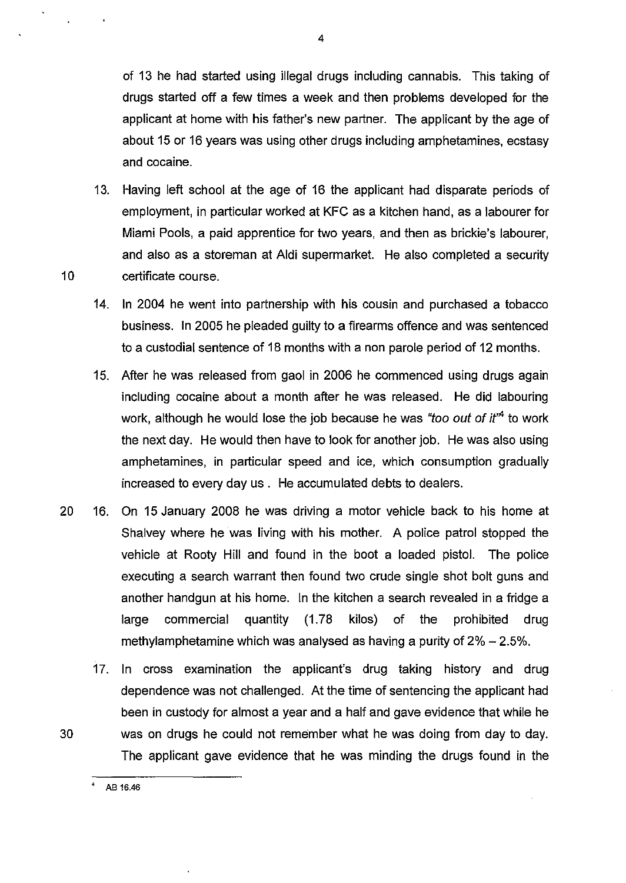of 13 he had started using illegal drugs including cannabis. This taking of drugs started off a few times a week and then problems developed for the applicant at home with his father's new partner. The applicant by the age of about 15 or 16 years was using other drugs including amphetamines, ecstasy and cocaine.

- 13. Having left school at the age of 16 the applicant had disparate periods of employment, in particular worked at KFC as a kitchen hand, as a labourer for Miami Pools, a paid apprentice for two years, and then as brickie's labourer, and also as a storeman at Aldi supermarket. He also completed a security 10 certificate course.
	- 14. In 2004 he went into partnership with his cousin and purchased a tobacco business. In 2005 he pleaded guilty to a firearms offence and was sentenced to a custodial sentence of 18 months with a non parole period of 12 months.
	- 15. After he was released from gaol in 2006 he commenced using drugs again including cocaine about a month after he was released. He did labouring work, although he would lose the job because he was "too out of  $it^4$  to work the next day. He would then have to look for another job. He was also using amphetamines, in particular speed and ice, which consumption gradually increased to every day us. He accumulated debts to dealers.
- 20 16. On 15 January 2008 he was driving a motor vehicle back to his home at Shalvey where he was living with his mother. A police patrol stopped the vehicle at Rooty Hill and found in the boot a loaded pistol. The police executing a search warrant then found two crude single shot bolt guns and another handgun at his home. In the kitchen a search revealed in a fridge a large commercial quantity (1.78 kilos) of the prohibited drug methylamphetamine which was analysed as having a purity of  $2\% - 2.5\%$ .
- 17. In cross examination the applicant's drug taking history and drug dependence was not challenged. At the time of sentencing the applicant had been in custody for almost a year and a half and gave evidence that while he 30 was on drugs he could not remember what he was doing from day to day. The applicant gave evidence that he was minding the drugs found in the

AB 16.46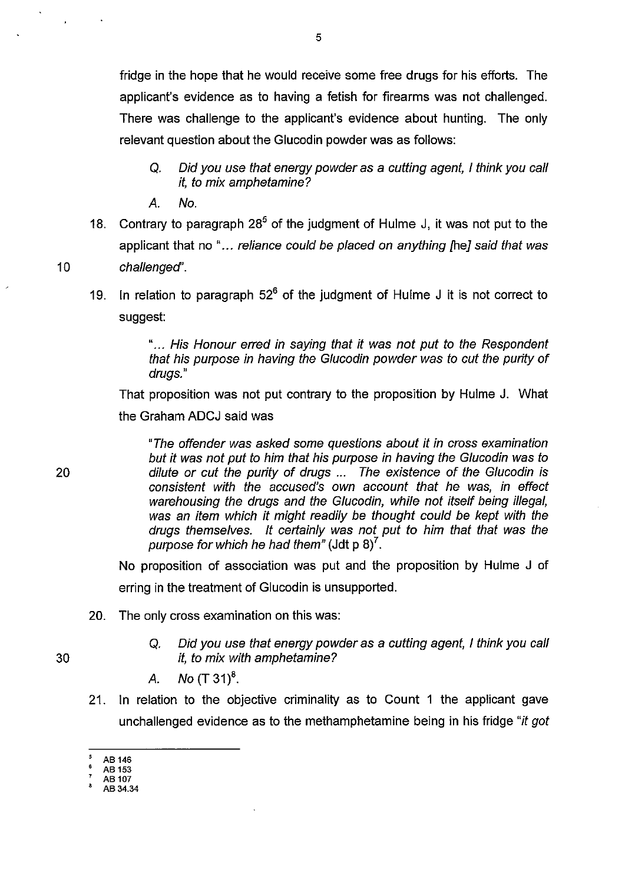fridge in the hope that he would receive some free drugs for his efforts. The applicant's evidence as to having a fetish for firearms was not challenged. There was challenge to the applicant's evidence about hunting. The only relevant question about the Glucodin powder was as follows:

- Q. Did you use that energy powder as a cutting agent, I think you call it, to mix amphetamine?
- A. No.
- 18. Contrary to paragraph  $28^5$  of the judgment of Hulme J, it was not put to the applicant that no "... reliance could be placed on anything [he] said that was 10 challenged'.
	- 19. In relation to paragraph  $52^6$  of the judgment of Hulme J it is not correct to suggest:

" ... His Honour erred in saying that it was not put to the Respondent that his purpose in having the Glucodin powder was to cut the purity of drugs."

That proposition was not put contrary to the proposition by Hulme J. What the Graham ADCJ said was

"The offender was asked some questions about it in cross examination but it was not put to him that his purpose in having the Glucodin was to dilute or cut the purity of drugs ... The existence of the Glucodin is consistent with the accused's own account that he was, in effect warehousing the drugs and the Glucodin, while not itself being illegal, was an item which it might readily be thought could be kept with the drugs themselves. It certainly was not put to him that that was the purpose for which he had them" (Jdt p  $8$ )<sup>7</sup>.

No proposition of association was put and the proposition by Hulme J of erring in the treatment of Glucodin is unsupported.

- 20. The only cross examination on this was:
	- Q. Did you use that energy powder as a cutting agent, I think you call it, to mix with amphetamine?
	- A. No  $(T 31)^8$ .
- 21. In relation to the objective criminality as to Count 1 the applicant gave unchallenged evidence as to the methamphetamine being in his fridge "it got

- , AB 107 AB 34.34
- 

30

AB 146

<sup>,</sup> AB 153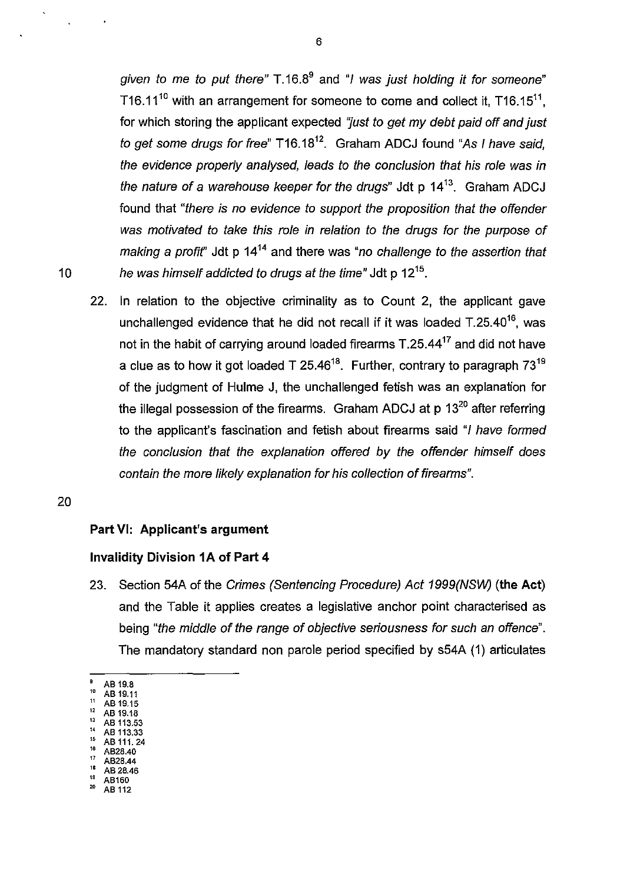given to me to put there"  $T.16.8<sup>9</sup>$  and "I was just holding it for someone" T16.11<sup>10</sup> with an arrangement for someone to come and collect it, T16.15<sup>11</sup>, for which storing the applicant expected "just to get my debt paid off and just to get some drugs for free"  $T16.18^{12}$ . Graham ADCJ found "As I have said, the evidence properly analysed, leads to the conclusion that his role was in the nature of a warehouse keeper for the drugs" Jdt  $p$  14<sup>13</sup>. Graham ADCJ found that "there is no evidence to support the proposition that the offender was motivated to take this role in relation to the drugs for the purpose of making a profit" Jdt p  $14^{14}$  and there was "no challenge to the assertion that 10 he was himself addicted to drugs at the time" Jdt p  $12^{15}$ .

22. In relation to the objective criminality as to Count 2, the applicant gave unchallenged evidence that he did not recall if it was loaded  $T.25.40^{16}$ , was not in the habit of carrying around loaded firearms T.25.4417 and did not have a clue as to how it got loaded  $T$  25.46<sup>18</sup>. Further, contrary to paragraph  $73^{19}$ of the judgment of Hulme J, the unchallenged fetish was an explanation for the illegal possession of the firearms. Graham ADCJ at p 13<sup>20</sup> after referring to the applicant's fascination and fetish about firearms said "I have formed the conclusion that the explanation offered by the offender himself does contain the more likely explanation for his collection of firearms".

### 20

### Part VI: Applicant's argument

### Invalidity Division **1A** of Part 4

- 23. Section 54A of the Crimes (Sentencing Procedure) Act 1999(NSW) (the Act) and the Table it applies creates a legislative anchor point characterised as being "the middle of the range of objective seriousness for such an offence". The mandatory standard non parole period specified by s54A (1) articulates
- $^{9}$  AB 19.8
- $^{10}$  AB 19.11  $\frac{11}{12}$  AB 19.15
- $^{12}$  AB 19.18
- $^{13}$  AB 113.53<br> $^{14}$  AB 113.33
- $^{14}$  AB 113.33  $^{12}$  AB 111, 24<br> $^{16}$  AB28.40
- $^{16}$  AB28.40
- $^{17}$  AB28.44
- $^{18}$  AB 28.46
- $^{19}$  AB160<br> $^{20}$  AB113 AB 112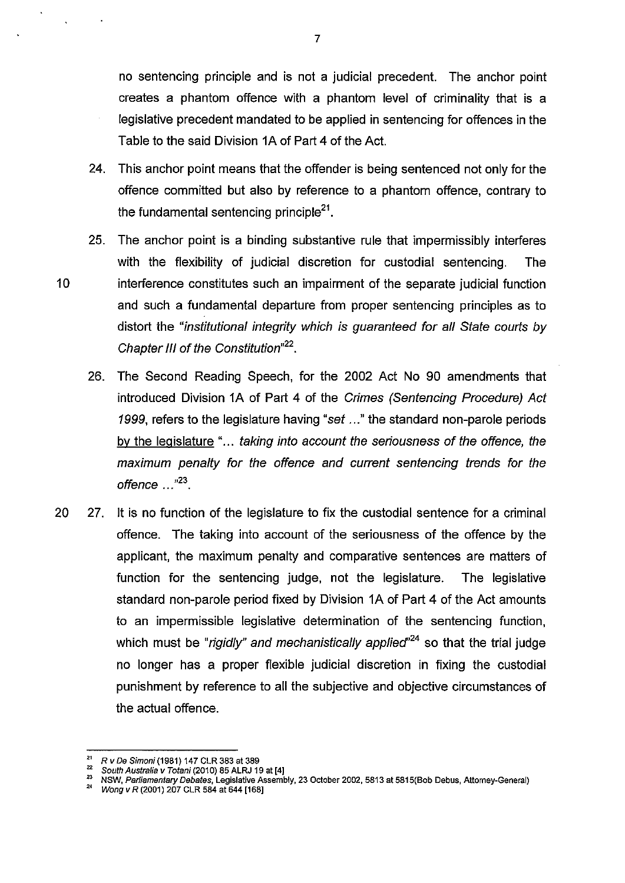no sentencing principle and is not a judicial precedent. The anchor point creates a phantom offence with a phantom level of criminality that is a legislative precedent mandated to be applied in sentencing for offences in the Table to the said Division 1A of Part 4 of the Act.

- 24. This anchor point means that the offender is being sentenced not only for the offence committed but also by reference to a phantom offence, contrary to the fundamental sentencing principle<sup>21</sup>.
- 25. The anchor point is a binding substantive rule that impermissibly interferes with the flexibility of judicial discretion for custodial sentencing. The 10 interference constitutes such an impairment of the separate judicial function and such a fundamental departure from proper sentencing principles as to distort the "institutional integrity which is guaranteed for all State courts by Chapter III of the Constitution<sup>"22</sup>.
	- 26. The Second Reading Speech, for the 2002 Act No 90 amendments that introduced Division 1A of Part 4 of the Crimes (Sentencing Procedure) Act 1999, refers to the legislature having "set ..." the standard non-parole periods by the legislature "... taking into account the seriousness of the offence, the maximum penalty for the offence and current sentencing trends for the offence  $...$  $^{n23}$ .
- 20 27. It is no function of the legislature to fix the custodial sentence for a criminal offence. The taking into account of the seriousness of the offence by the applicant, the maximum penalty and comparative sentences are matters of function for the sentencing judge, not the legislature. The legislative standard non-parole period fixed by Division 1A of Part 4 of the Act amounts to an impermissible legislative determination of the sentencing function, which must be "rigidly" and mechanistically applied"<sup>24</sup> so that the trial judge no longer has a proper flexible judicial discretion in fixing the custodial punishment by reference to all the subjective and objective circumstances of the actual offence.

<sup>&</sup>lt;sup>21</sup> R v De Simoni (1981) 147 CLR 383 at 389

<sup>&</sup>lt;sup>22</sup> South Australia *v Totani* (2010) 85 ALRJ 19 at [4]

**<sup>23</sup>NSW, Parliamentary Debates, Legislative Assembly, 23 October 2002,5813 at 581S(8ob Debus, Attorney-General)** 

Wong v R (2001) 207 CLR 584 at 644 [168]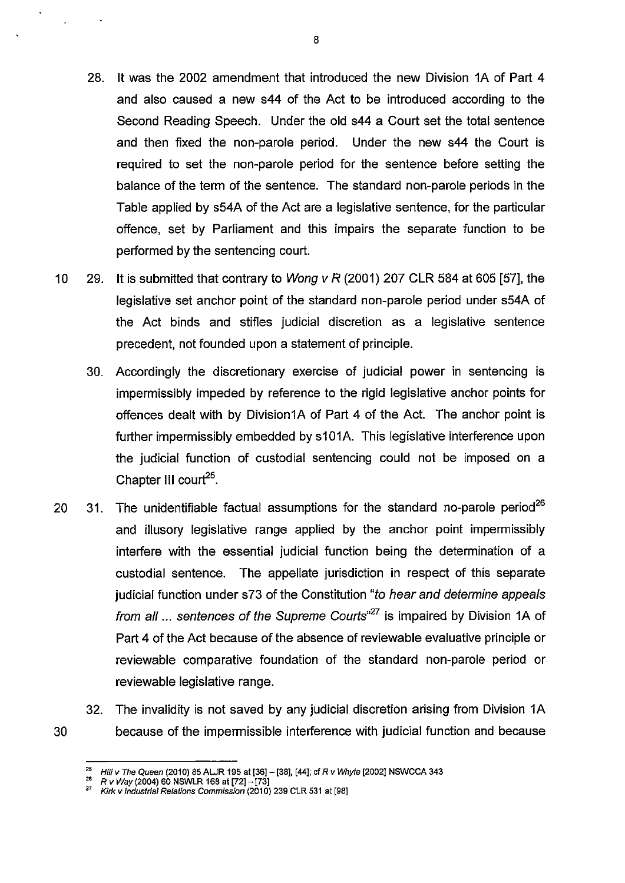- 28. **It** was the 2002 amendment that introduced the new Division 1A of Part 4 and also caused a new s44 of the Act to be introduced according to the Second Reading Speech. Under the old s44 a Court set the total sentence and then fixed the non-parole period. Under the new s44 the Court is required to set the non-parole period for the sentence before setting the balance of the term of the sentence. The standard non-parole periods in the Table applied by s54A of the Act are a legislative sentence, for the particular offence, set by Parliament and this impairs the separate function to be performed by the sentencing court.
- 10 29. **It** is submitted that contrary to Wong v R (2001) 207 CLR 584 at 605 [57], the legislative set anchor point of the standard non-parole period under s54A of the Act binds and stifles judicial discretion as a legislative sentence precedent, not founded upon a statement of principle.
	- 30. Accordingly the discretionary exercise of judicial power in sentencing is impermissibly impeded by reference to the rigid legislative anchor points for offences dealt with by Division1A of Part 4 of the Act. The anchor point is further impermissibly embedded by s101A. This legislative interference upon the judicial function of custodial sentencing could not be imposed on a Chapter **III** court<sup>25</sup>.
- 20  $31.$  The unidentifiable factual assumptions for the standard no-parole period<sup>26</sup> and illusory legislative range applied by the anchor point impermissibly interfere with the essential judicial function being the determination of a custodial sentence. The appellate jurisdiction in respect of this separate judicial function under s73 of the Constitution "to hear and determine appeals from all ... sentences of the Supreme Courts<sup>37</sup> is impaired by Division 1A of Part 4 of the Act because of the absence of reviewable evaluative principle or reviewable comparative foundation of the standard non-parole period or reviewable legislative range.
- 32. The invalidity is not saved by any judicial discretion arising from Division 1A 30 because of the impermissible interference with judicial function and because

<sup>&</sup>lt;sup>25</sup> Hili *v* The Queen (2010) 85 ALJR 195 at [36] - [38], [44]; cf R *v Whyte* [2002] NSWCCA 343

<sup>26</sup>R *v* Way (2004) 60 NSWLR 168 at [72]- [73]

<sup>&</sup>lt;sup>27</sup> Kirk v Industrial Relations Commission (2010) 239 CLR 531 at [98]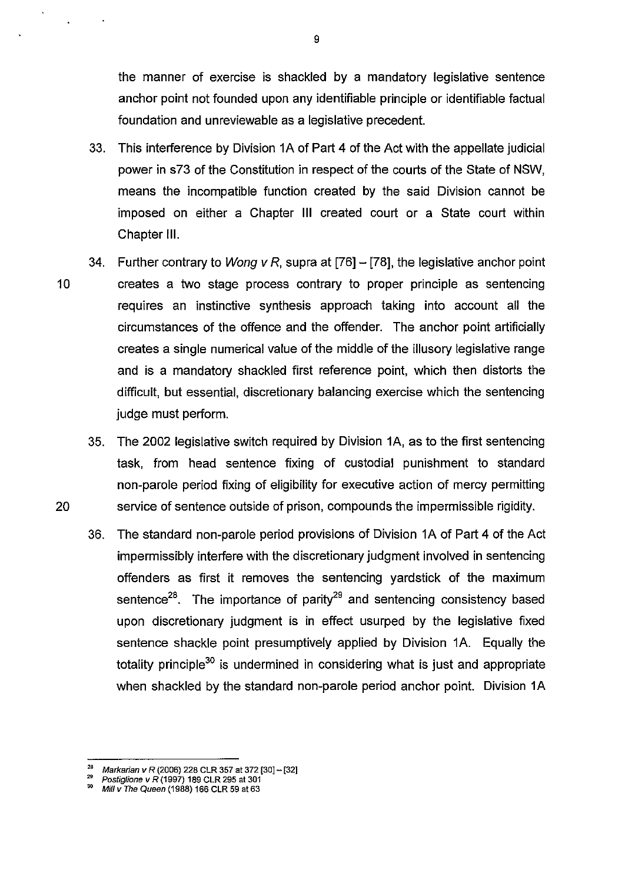the manner of exercise is shackled by a mandatory legislative sentence anchor point not founded upon any identifiable principle or identifiable factual foundation and unreviewable as a legislative precedent.

- 33. This interference by Division 1A of Part 4 of the Act with the appellate judicial power in s73 of the Constitution in respect of the courts of the State of NSW, means the incompatible function created by the said Division cannot be imposed on either a Chapter **III** created court or a State court within Chapter **Ill.**
- 34. Further contrary to Wong v R, supra at [76] [78], the legislative anchor point 10 creates a two stage process contrary to proper principle as sentencing requires an instinctive synthesis approach taking into account all the circumstances of the offence and the offender. The anchor point artificially creates a single numerical value of the middle of the illusory legislative range and is a mandatory shackled first reference point, which then distorts the difficult, but essential, discretionary balancing exercise which the sentencing judge must perform.
- 35. The 2002 legislative switch required by Division 1A, as to the first sentencing task, from head sentence fixing of custodial punishment to standard non-parole period fixing of eligibility for executive action of mercy permitting 20 service of sentence outside of prison, compounds the impermissible rigidity.
	- 36. The standard non-parole period provisions of Division 1A of Part 4 of the Act impermissibly interfere with the discretionary judgment involved in sentencing offenders as first it removes the sentencing yardstick of the maximum sentence<sup>28</sup>. The importance of parity<sup>29</sup> and sentencing consistency based upon discretionary judgment is in effect usurped by the legislative fixed sentence shackle point presumptively applied by Division 1A. Equally the totality principle<sup>30</sup> is undermined in considering what is just and appropriate when shackled by the standard non-parole period anchor point. Division 1A

<sup>&</sup>lt;sup>28</sup> Markarian v R (2006) 228 CLR 357 at 372 [30] - [32]

<sup>&</sup>lt;sup>29</sup> Postiglione v R (1997) 189 CLR 295 at 301<sup>1</sup>

<sup>30</sup> Mill *v* The Queen (1988) 166 CLR 59 at 63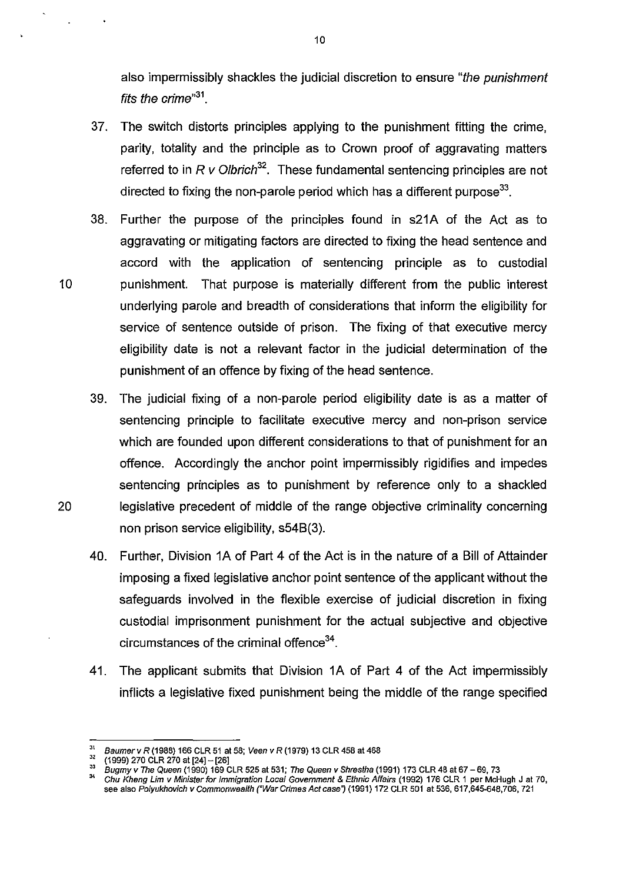also impermissibly shackles the judicial discretion to ensure "the punishment fits the crime $^{31}$ .

- 37. The switch distorts principles applying to the punishment fitting the crime, parity, totality and the principle as to Crown proof of aggravating matters referred to in R v Olbrich<sup>32</sup>. These fundamental sentencing principles are not directed to fixing the non-parole period which has a different purpose<sup>33</sup>.
- 38. Further the purpose of the principles found in s21A of the Act as to aggravating or mitigating factors are directed to fixing the head sentence and accord with the application of sentencing principle as to custodial 10 punishment. That purpose is materially different from the public interest underlying parole and breadth of considerations that inform the eligibility for service of sentence outside of prison. The fixing of that executive mercy eligibility date is not a relevant factor in the judicial determination of the punishment of an offence by fixing of the head sentence.
- 39. The judicial fixing of a non-parole period eligibility date is as a matter of sentencing principle to facilitate executive mercy and non-prison service which are founded upon different considerations to that of punishment for an offence. Accordingly the anchor point impermissibly rigidifies and impedes sentencing principles as to punishment by reference only to a shackled 20 legislative precedent of middle of the range objective criminality concerning non prison service eligibility, s54B(3).
	- 40. Further, Division 1A of Part 4 of the Act is in the nature of a Bill of Attainder imposing a fixed legislative anchor point sentence of the applicant without the safeguards involved in the flexible exercise of judicial discretion in fixing custodial imprisonment punishment for the actual subjective and objective circumstances of the criminal offence<sup>34</sup>.
	- 41. The applicant submits that Division 1A of Part 4 of the Act impermissibly inflicts a legislative fixed punishment being the middle of the range specified

<sup>&</sup>lt;sup>31</sup> Baumer v R (1988) 166 CLR 51 at 58; Veen v R (1979) 13 CLR 458 at 468

 $^{32}$  (1999) 270 CLR 270 at [24] - [26]

 $^{33}$  Bugmy v The Queen (1990) 169 CLR 525 at 531; The Queen v Shrestha (1991) 173 CLR 48 at 67 – 69, 73

**<sup>34</sup>Chu Kheng Um v Minister for Immigration Local Government & Ethnic Affairs (1992) 176 CLR 1 per McHugh J at 70,**  see also Polyukhovich v Commonwealth ("War Crimes Act case") (1991) 172 CLR 501 at 536, 617,645-648,706, 721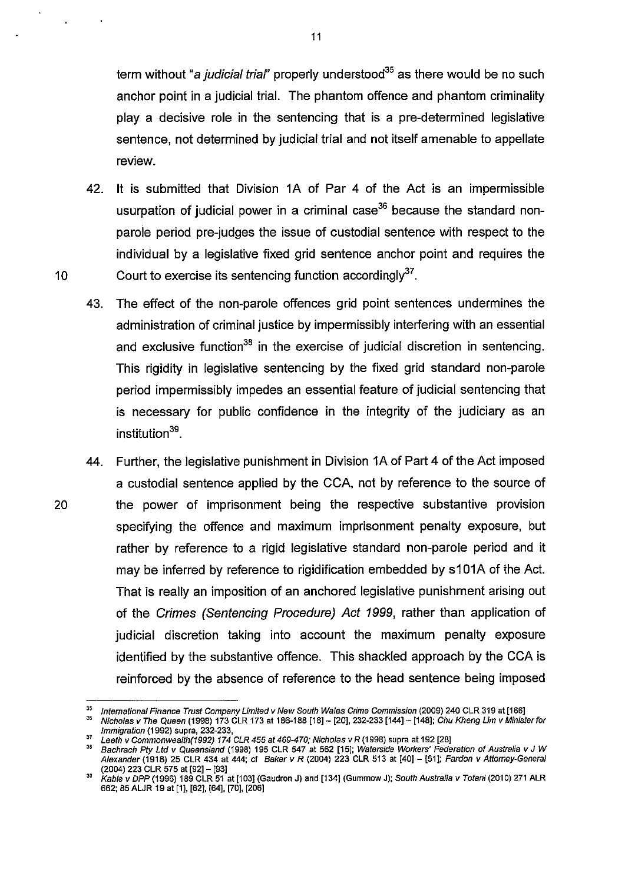term without "*a judicial trial*" properly understood<sup>35</sup> as there would be no such anchor point in a judicial trial. The phantom offence and phantom criminality play a decisive role in the sentencing that is a pre-determined legislative sentence, not determined by judicial trial and not itself amenable to appellate review.

- 42. It is submitted that Division 1A of Par 4 of the Act is an impermissible usurpation of judicial power in a criminal case<sup>36</sup> because the standard nonparole period pre-judges the issue of custodial sentence with respect to the individual by a legislative fixed grid sentence anchor point and requires the 10 Court to exercise its sentencing function accordingly $^{37}$ .
	- 43. The effect of the non-parole offences grid point sentences undermines the administration of criminal justice by impermissibly interfering with an essential and exclusive function<sup>38</sup> in the exercise of judicial discretion in sentencing. This rigidity in legislative sentencing by the fixed grid standard non-parole period impermissibly impedes an essential feature of judicial sentencing that is necessary for public confidence in the integrity of the judiciary as an institution<sup>39</sup>.
- 44. Further, the legislative punishment in Division 1A of Part 4 of the Act imposed a custodial sentence applied by the CCA, not by reference to the source of 20 the power of imprisonment being the respective substantive provision specifying the offence and maximum imprisonment penalty exposure, but rather by reference to a rigid legislative standard non-parole period and it may be inferred by reference to rigidification embedded by s101A of the Act. That is really an imposition of an anchored legislative punishment arising out of the Crimes (Sentencing Procedure) Act 1999, rather than application of judicial discretion taking into account the maximum penalty exposure identified by the substantive offence. This shackled approach by the CCA is reinforced by the absence of reference to the head sentence being imposed

**<sup>35</sup>International Finance Trust Company Limited v New South Wales Crime Commission (2009) 240 CLR 319 at [166]** 

<sup>&</sup>quot; Nicholas v The Queen (1998) 173 CLR 173 at 186-188 [16]- [20], 232-233 [144]- [148]; Chu Kheng Lim v Minister for Immigration (1992) supra, 232-233,

 $37$  Leeth v Commonwealth(1992) 174 CLR 455 at 469-470; Nicholas v R (1998) supra at 192 [28]

<sup>&</sup>quot; Bachrach Ply Lld v Queensland (1998) 195 CLR 547 at 562 [IS]; Waterside Workers' Federation of Australia v J W Alexander (1918) 25 CLR 434 at 444; cl Baker v R (2004) 223 CLR 513 at [40]- [51]; Fardon v Attorney-General (2004) 223 CLR 575 at [92]- [93]

<sup>&</sup>lt;sup>39</sup> Kable v DPP (1996) 189 CLR 51 at [103] (Gaudron J) and [134] (Gummow J); So*uth Australia v Totani* (2010) 271 ALR 662; 85 ALJR 19 at [I], [62], [64], [70], [206]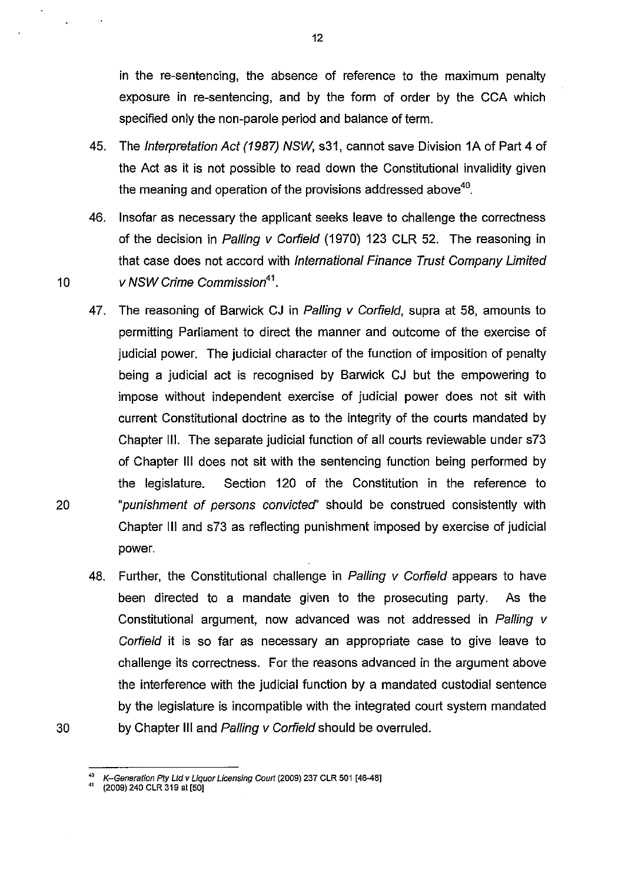in the re-sentencing, the absence of reference to the maximum penalty exposure in re-sentencing, and by the form of order by the CCA which specified only the non-parole period and balance of term.

- 45. The Interpretation Act (1987) NSW, s31, cannot save Division 1A of Part 4 of the Act as it is not possible to read down the Constitutional invalidity given the meaning and operation of the provisions addressed above<sup>40</sup>.
- 46. Insofar as necessary the applicant seeks leave to challenge the correctness of the decision in Palling v Corfield (1970) 123 CLR 52. The reasoning in that case does not accord with International Finance Trust Company Limited 10 v NSW Crime Commission<sup>41</sup>.
- 47. The reasoning of Barwick CJ in Palling v Corfield, supra at 58, amounts to permitting Parliament to direct the manner and outcome of the exercise of judicial power. The judicial character of the function of imposition of penalty being a judicial act is recognised by Barwick CJ but the empowering to impose without independent exercise of judicial power does not sit with current Constitutional doctrine as to the integrity of the courts mandated by Chapter Ill. The separate judicial function of all courts reviewable under s73 of Chapter III does not sit with the sentencing function being performed by the legislature. Section 120 of the Constitution in the reference to 20 "punishment of persons convicted' should be construed consistently with Chapter III and s73 as reflecting punishment imposed by exercise of judicial power.
- 48. Further, the Constitutional challenge in Palling  $\nu$  Corfield appears to have been directed to a mandate given to the prosecuting party. As the Constitutional argument, now advanced was not addressed in Palling v Corfield it is so far as necessary an appropriate case to give leave to challenge its correctness. For the reasons advanced in the argument above the interference with the judicial function by a mandated custodial sentence by the legislature is incompatible with the integrated court system mandated 30 by Chapter III and Palling v Corfield should be overruled.

<sup>40</sup> K-Generation Pty Ltd v Liquor Licensing Court (2009) 237 CLR 501 [46-48]

<sup>&</sup>lt;sup>41</sup> (2009) 240 CLR 319 at [50]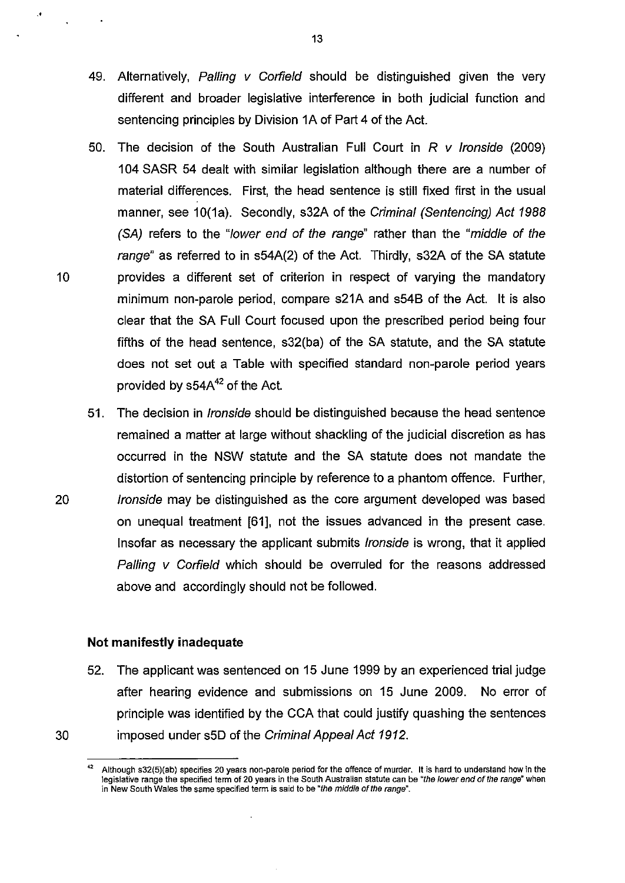- 49. Alternatively, Palling  $V$  Corfield should be distinguished given the very different and broader legislative interference in both judicial function and sentencing principles by Division 1A of Part 4 of the Act.
- 50. The decision of the South Australian Full Court in  $R$  v Ironside (2009) 104 SASR 54 dealt with similar legislation although there are a number of material differences. First, the head sentence is still fixed first in the usual manner, see 10(1a). Secondly, s32A of the Criminal (Sentencing) Act 1988 (SA) refers to the "lower end of the range" rather than the "middle of the range" as referred to in s54A(2) of the Act. Thirdly, s32A of the SA statute 10 provides a different set of criterion in respect of varying the mandatory minimum non-parole period, compare s21A and s548 of the Act. It is also clear that the SA Full Court focused upon the prescribed period being four fifths of the head sentence, s32(ba) of the SA statute, and the SA statute does not set out a Table with specified standard non-parole period years provided by  $s54A^{42}$  of the Act.
- 51. The decision in lronside should be distinguished because the head sentence remained a matter at large without shackling of the judicial discretion as has occurred in the NSW statute and the SA statute does not mandate the distortion of sentencing principle by reference to a phantom offence. Further, 20 Iron side may be distinguished as the core argument developed was based on unequal treatment [61], not the issues advanced in the present case. Insofar as necessary the applicant submits lronside is wrong, that it applied Palling v Corfield which should be overruled for the reasons addressed above and accordingly should not be followed.

### **Not** manifestly **inadequate**

52. The applicant was sentenced on 15 June 1999 by an experienced trial judge after hearing evidence and submissions on 15 June 2009. No error of principle was identified by the CCA that could justify quashing the sentences 30 imposed under s5D of the Criminal Appeal Act 1912.

..

**<sup>42</sup>Although s32(5)(ab) specifies 20 years non-parole period for the offence of murder. It is hard to understand how in the**  legislative range the specified term of 20 years in the South Australian statute can be "the lower end of the range" when in New South Wales the same specified term is said to be "the middle of the range".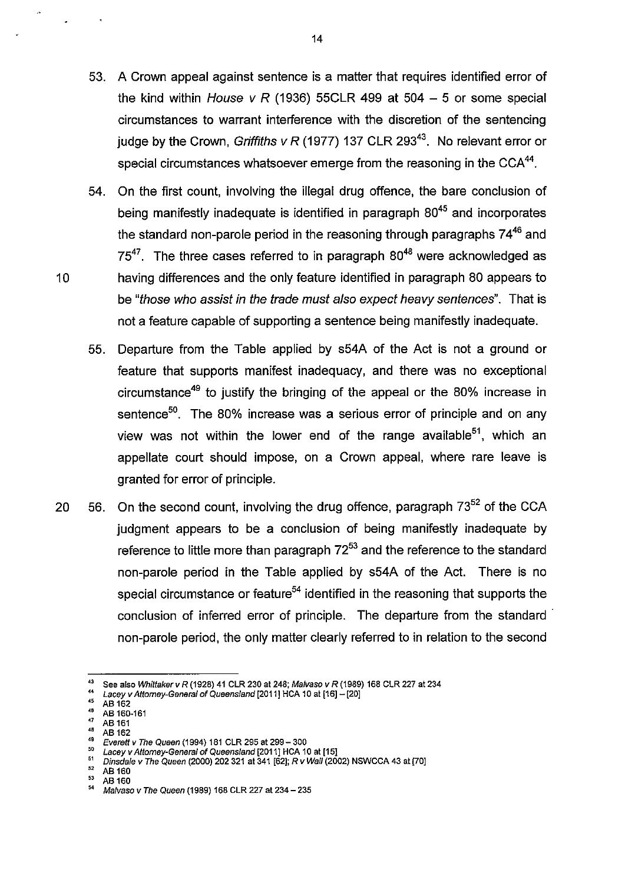- 53. A Crown appeal against sentence is a matter that requires identified error of the kind within House v R (1936) 55CLR 499 at 504 - 5 or some special circumstances to warrant interference with the discretion of the sentencing judge by the Crown, Griffiths v R (1977) 137 CLR 293<sup>43</sup>. No relevant error or special circumstances whatsoever emerge from the reasoning in the  $CCA^{44}$ .
- 54. On the first count, involving the illegal drug offence, the bare conclusion of being manifestly inadequate is identified in paragraph  $80^{45}$  and incorporates the standard non-parole period in the reasoning through paragraphs  $74^{46}$  and  $75^{47}$ . The three cases referred to in paragraph  $80^{48}$  were acknowledged as 10 having differences and the only feature identified in paragraph 80 appears to be "those who assist in the trade must also expect heavy sentences". That is not a feature capable of supporting a sentence being manifestly inadequate.
	- 55. Departure from the Table applied by s54A of the Act is not a ground or feature that supports manifest inadequacy, and there was no exceptional circumstance<sup>49</sup> to justify the bringing of the appeal or the 80% increase in sentence<sup>50</sup>. The 80% increase was a serious error of principle and on any view was not within the lower end of the range available<sup>51</sup>, which an appellate court should impose, on a Crown appeal, where rare leave is granted for error of principle.
- 20  $56.$  On the second count, involving the drug offence, paragraph  $73^{52}$  of the CCA judgment appears to be a conclusion of being manifestly inadequate by reference to little more than paragraph  $72^{53}$  and the reference to the standard non-parole period in the Table applied by s54A of the Act. There is no special circumstance or feature<sup>54</sup> identified in the reasoning that supports the conclusion of inferred error of principle. The departure from the standard non-parole period, the only matter clearly referred to in relation to the second

<sup>43</sup> See also Whittaker v R (1928) 41 CLR 230 at 248; Malvaso v R (1989) 168 CLR 227 at 234<br>44 Lacey v Attomey-General of Queensland [2011] HCA 10 at [16] - [20]<br>45 AB 452

 $^{45}$  AB 162

 $^{48}$  AB 160-161

 $^{47}_{48}$  AB 161

 $^{48}$  AB 162

<sup>&</sup>lt;sup>49</sup> Everett v The Queen (1994) 181 CLR 295 at 299 - 300<br> $\frac{50}{2}$  Leep W Attorney Canaral of Queensland [2011] HCA 14

 $^{50}$  Lacey v Attorney-General of Queensland  $[2011]$  HCA 10 at  $[15]$ <br> $^{51}$  Directed v The Queen (2000) 202.234 at 244.5231; D v Well (2001)

<sup>&</sup>lt;sup>51</sup> Dinsdale v The Queen (2000) 202 321 at 341  $[62]$ ; R v Wall (2002) NSWCCA 43 at  $[70]$ <br><sup>52</sup> AB 160

 $^{52}$  AB 160

 $^{53}$  AB 160 Malvaso v The Queen (1989) 168 CLR 227 at 234 - 235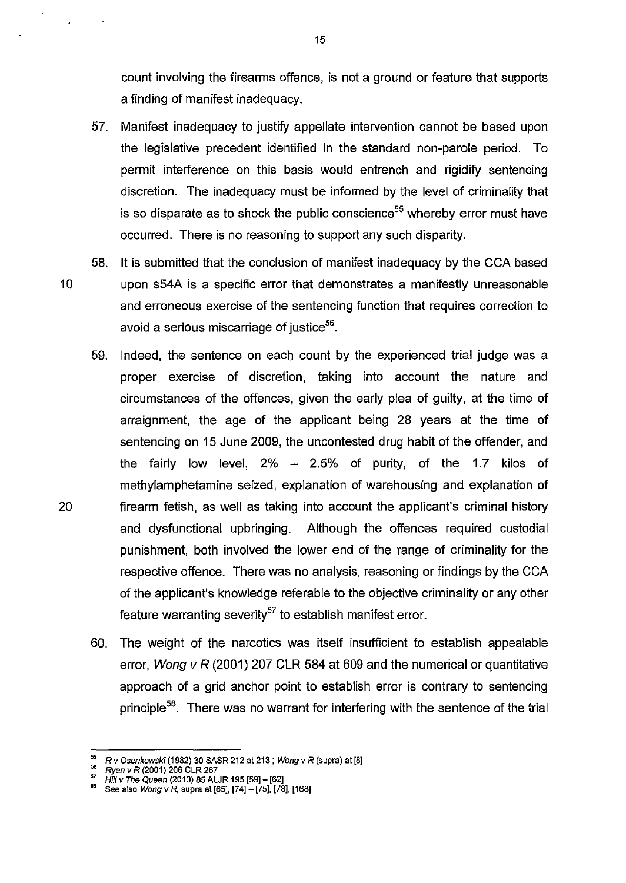count involving the firearms offence, is not a ground or feature that supports a finding of manifest inadequacy.

57. Manifest inadequacy to justify appellate intervention cannot be based upon the legislative precedent identified in the standard non-parole period. To permit interference on this basis would entrench and rigidify sentencing discretion. The inadequacy must be informed by the level of criminality that is so disparate as to shock the public conscience<sup>55</sup> whereby error must have occurred. There is no reasoning to support any such disparity.

58. It is submitted that the conclusion of manifest inadequacy by the CCA based 10 upon s54A is a specific error that demonstrates a manifestly unreasonable and erroneous exercise of the sentencing function that requires correction to avoid a serious miscarriage of justice<sup>56</sup>.

- 59. Indeed, the sentence on each count by the experienced trial judge was a proper exercise of discretion, taking into account the nature and circumstances of the offences, given the early plea of guilty, at the time of arraignment, the age of the applicant being 28 years at the time of sentencing on 15 June 2009, the uncontested drug habit of the offender, and the fairly low level,  $2\% - 2.5\%$  of purity, of the 1.7 kilos of methylamphetamine seized, explanation of warehousing and explanation of 20 firearm fetish, as well as taking into account the applicant's criminal history and dysfunctional upbringing. Although the offences required custodial punishment, both involved the lower end of the range of criminality for the respective offence. There was no analysis, reasoning or findings by the CCA of the applicant's knowledge referable to the objective criminality or any other feature warranting severity<sup>57</sup> to establish manifest error.
	- 60. The weight of the narcotics was itself insufficient to establish appealable error, Wong v R (2001) 207 CLR 584 at 609 and the numerical or quantitative approach of a grid anchor point to establish error is contrary to sentencing principle<sup>58</sup>. There was no warrant for interfering with the sentence of the trial

 $^{55}$ R v Osenkowski (1982) 30 SASR 212 at 213; Wong v R (supra) at [8]

<sup>&</sup>lt;sup>56</sup> *Ryan v R* (2001) 206 CLR 267<br><sup>57</sup> *Hill v The Queen* (2010) 85 ALJR 195 [59] - [62]

 $^{58}$  See also *Wong v R*, supra at [65], [74]  $-$  [75], [78], [168]